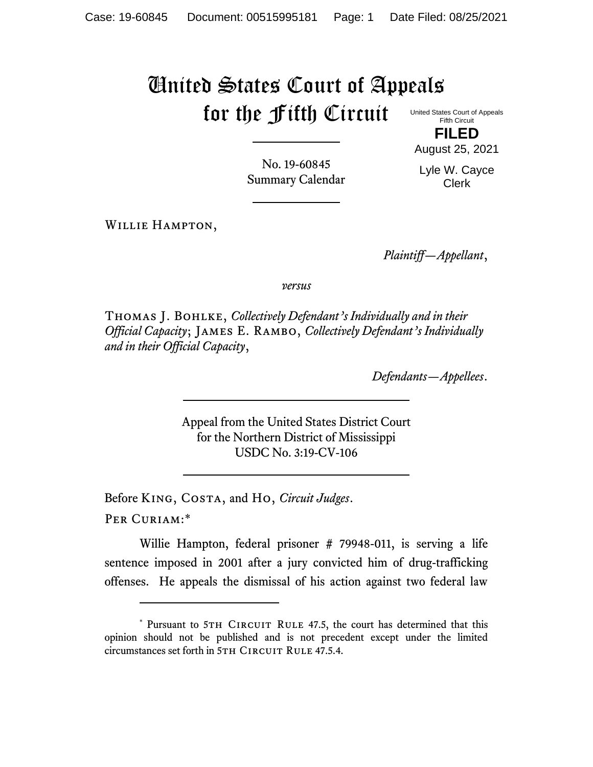## United States Court of Appeals for the Fifth Circuit

United States Court of Appeals Fifth Circuit **FILED**

No. 19-60845 Summary Calendar August 25, 2021 Lyle W. Cayce

Clerk

Willie Hampton,

*Plaintiff—Appellant*,

*versus*

Thomas J. Bohlke, *Collectively Defendant's Individually and in their Official Capacity*; James E. Rambo, *Collectively Defendant's Individually and in their Official Capacity*,

*Defendants—Appellees*.

Appeal from the United States District Court for the Northern District of Mississippi USDC No. 3:19-CV-106

Before King, Costa, and Ho, *Circuit Judges*.

Per Curiam:\*

Willie Hampton, federal prisoner # 79948-011, is serving a life sentence imposed in 2001 after a jury convicted him of drug-trafficking offenses. He appeals the dismissal of his action against two federal law

<sup>\*</sup> Pursuant to 5TH CIRCUIT RULE 47.5, the court has determined that this opinion should not be published and is not precedent except under the limited circumstances set forth in 5TH CIRCUIT RULE 47.5.4.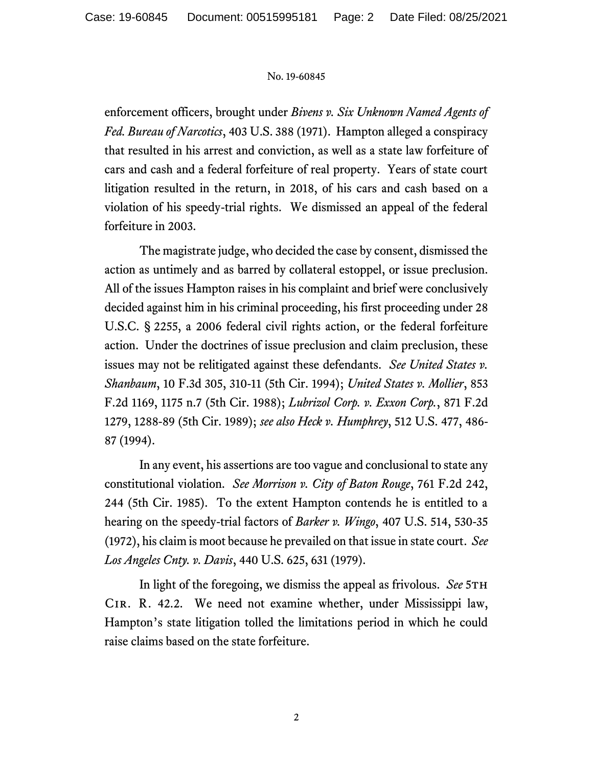## No. 19-60845

enforcement officers, brought under *Bivens v. Six Unknown Named Agents of Fed. Bureau of Narcotics*, 403 U.S. 388 (1971). Hampton alleged a conspiracy that resulted in his arrest and conviction, as well as a state law forfeiture of cars and cash and a federal forfeiture of real property. Years of state court litigation resulted in the return, in 2018, of his cars and cash based on a violation of his speedy-trial rights. We dismissed an appeal of the federal forfeiture in 2003.

The magistrate judge, who decided the case by consent, dismissed the action as untimely and as barred by collateral estoppel, or issue preclusion. All of the issues Hampton raises in his complaint and brief were conclusively decided against him in his criminal proceeding, his first proceeding under 28 U.S.C. § 2255, a 2006 federal civil rights action, or the federal forfeiture action. Under the doctrines of issue preclusion and claim preclusion, these issues may not be relitigated against these defendants. *See United States v. Shanbaum*, 10 F.3d 305, 310-11 (5th Cir. 1994); *United States v. Mollier*, 853 F.2d 1169, 1175 n.7 (5th Cir. 1988); *Lubrizol Corp. v. Exxon Corp.*, 871 F.2d 1279, 1288-89 (5th Cir. 1989); *see also Heck v. Humphrey*, 512 U.S. 477, 486- 87 (1994).

In any event, his assertions are too vague and conclusional to state any constitutional violation. *See Morrison v. City of Baton Rouge*, 761 F.2d 242, 244 (5th Cir. 1985). To the extent Hampton contends he is entitled to a hearing on the speedy-trial factors of *Barker v. Wingo*, 407 U.S. 514, 530-35 (1972), his claim is moot because he prevailed on that issue in state court. *See Los Angeles Cnty. v. Davis*, 440 U.S. 625, 631 (1979).

In light of the foregoing, we dismiss the appeal as frivolous. *See* 5th Cir. R. 42.2. We need not examine whether, under Mississippi law, Hampton's state litigation tolled the limitations period in which he could raise claims based on the state forfeiture.